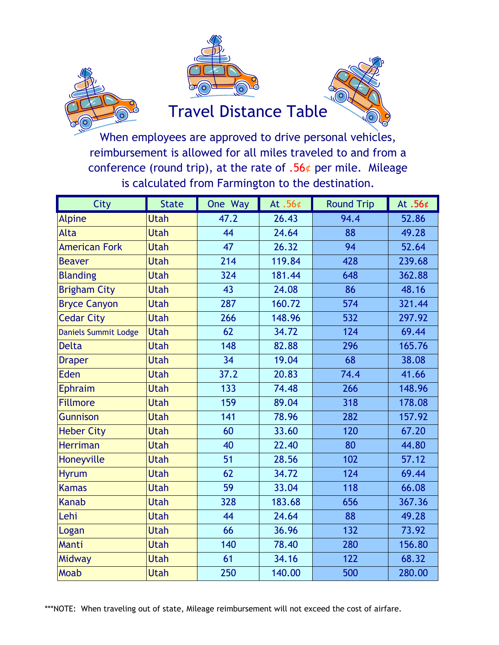





## Travel Distance Table

is calculated from Farmington to the destination. When employees are approved to drive personal vehicles, reimbursement is allowed for all miles traveled to and from a conference (round trip), at the rate of  $.56¢$  per mile. Mileage

| City                        | <b>State</b> | One Way | At $.56¢$ | <b>Round Trip</b> | At .56¢ |
|-----------------------------|--------------|---------|-----------|-------------------|---------|
| <b>Alpine</b>               | <b>Utah</b>  | 47.2    | 26.43     | 94.4              | 52.86   |
| Alta                        | <b>Utah</b>  | 44      | 24.64     | 88                | 49.28   |
| <b>American Fork</b>        | <b>Utah</b>  | 47      | 26.32     | 94                | 52.64   |
| <b>Beaver</b>               | <b>Utah</b>  | 214     | 119.84    | 428               | 239.68  |
| <b>Blanding</b>             | <b>Utah</b>  | 324     | 181.44    | 648               | 362.88  |
| <b>Brigham City</b>         | <b>Utah</b>  | 43      | 24.08     | 86                | 48.16   |
| <b>Bryce Canyon</b>         | <b>Utah</b>  | 287     | 160.72    | 574               | 321.44  |
| <b>Cedar City</b>           | <b>Utah</b>  | 266     | 148.96    | 532               | 297.92  |
| <b>Daniels Summit Lodge</b> | <b>Utah</b>  | 62      | 34.72     | 124               | 69.44   |
| <b>Delta</b>                | <b>Utah</b>  | 148     | 82.88     | 296               | 165.76  |
| <b>Draper</b>               | <b>Utah</b>  | 34      | 19.04     | 68                | 38.08   |
| Eden                        | <b>Utah</b>  | 37.2    | 20.83     | 74.4              | 41.66   |
| <b>Ephraim</b>              | <b>Utah</b>  | 133     | 74.48     | 266               | 148.96  |
| <b>Fillmore</b>             | <b>Utah</b>  | 159     | 89.04     | 318               | 178.08  |
| <b>Gunnison</b>             | <b>Utah</b>  | 141     | 78.96     | 282               | 157.92  |
| <b>Heber City</b>           | <b>Utah</b>  | 60      | 33.60     | 120               | 67.20   |
| <b>Herriman</b>             | <b>Utah</b>  | 40      | 22.40     | 80                | 44.80   |
| Honeyville                  | <b>Utah</b>  | 51      | 28.56     | 102               | 57.12   |
| <b>Hyrum</b>                | <b>Utah</b>  | 62      | 34.72     | 124               | 69.44   |
| <b>Kamas</b>                | <b>Utah</b>  | 59      | 33.04     | 118               | 66.08   |
| <b>Kanab</b>                | <b>Utah</b>  | 328     | 183.68    | 656               | 367.36  |
| Lehi                        | <b>Utah</b>  | 44      | 24.64     | 88                | 49.28   |
| Logan                       | <b>Utah</b>  | 66      | 36.96     | 132               | 73.92   |
| Manti                       | <b>Utah</b>  | 140     | 78.40     | 280               | 156.80  |
| Midway                      | <b>Utah</b>  | 61      | 34.16     | 122               | 68.32   |
| <b>Moab</b>                 | <b>Utah</b>  | 250     | 140.00    | 500               | 280.00  |

\*\*\*NOTE: When traveling out of state, Mileage reimbursement will not exceed the cost of airfare.